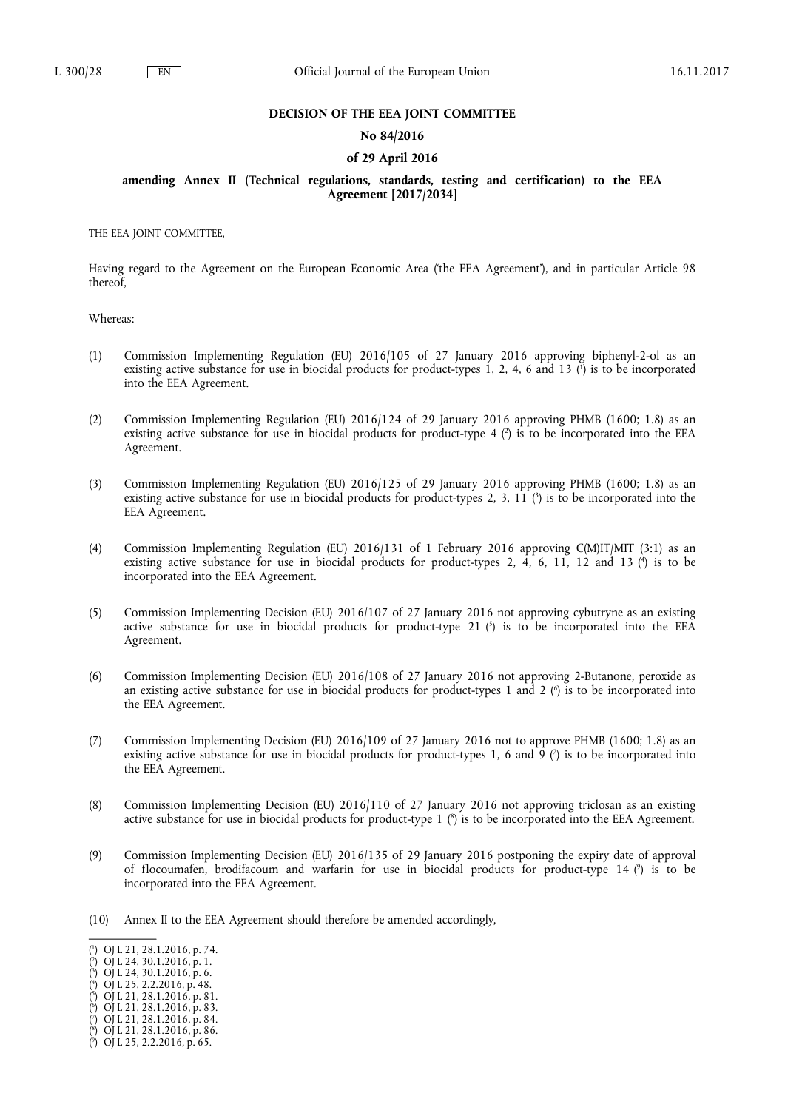#### **DECISION OF THE EEA JOINT COMMITTEE**

#### **No 84/2016**

### **of 29 April 2016**

## **amending Annex II (Technical regulations, standards, testing and certification) to the EEA Agreement [2017/2034]**

THE EEA JOINT COMMITTEE,

Having regard to the Agreement on the European Economic Area ('the EEA Agreement'), and in particular Article 98 thereof,

Whereas:

- (1) Commission Implementing Regulation (EU) 2016/105 of 27 January 2016 approving biphenyl-2-ol as an existing active substance for use in biocidal products for product-types 1, 2, 4, 6 and 13 ( 1 ) is to be incorporated into the EEA Agreement.
- (2) Commission Implementing Regulation (EU) 2016/124 of 29 January 2016 approving PHMB (1600; 1.8) as an existing active substance for use in biocidal products for product-type 4 (<sup>2</sup>) is to be incorporated into the EEA Agreement.
- (3) Commission Implementing Regulation (EU) 2016/125 of 29 January 2016 approving PHMB (1600; 1.8) as an existing active substance for use in biocidal products for product-types 2, 3, 11 ( $\degree$ ) is to be incorporated into the EEA Agreement.
- (4) Commission Implementing Regulation (EU) 2016/131 of 1 February 2016 approving C(M)IT/MIT (3:1) as an existing active substance for use in biocidal products for product-types 2, 4, 6, 11, 12 and 13 (<sup>4</sup>) is to be incorporated into the EEA Agreement.
- (5) Commission Implementing Decision (EU) 2016/107 of 27 January 2016 not approving cybutryne as an existing active substance for use in biocidal products for product-type 21  $\binom{5}{1}$  is to be incorporated into the EEA Agreement.
- (6) Commission Implementing Decision (EU) 2016/108 of 27 January 2016 not approving 2-Butanone, peroxide as an existing active substance for use in biocidal products for product-types 1 and 2  $\lq$  is to be incorporated into the EEA Agreement.
- (7) Commission Implementing Decision (EU) 2016/109 of 27 January 2016 not to approve PHMB (1600; 1.8) as an existing active substance for use in biocidal products for product-types 1, 6 and 9  $(7)$  is to be incorporated into the EEA Agreement.
- (8) Commission Implementing Decision (EU) 2016/110 of 27 January 2016 not approving triclosan as an existing active substance for use in biocidal products for product-type 1 ( 8 ) is to be incorporated into the EEA Agreement.
- (9) Commission Implementing Decision (EU) 2016/135 of 29 January 2016 postponing the expiry date of approval of flocoumafen, brodifacoum and warfarin for use in biocidal products for product-type 14 ( 9 ) is to be incorporated into the EEA Agreement.
- (10) Annex II to the EEA Agreement should therefore be amended accordingly,

<sup>(</sup> 1 ) OJ L 21, 28.1.2016, p. 74.

<sup>(</sup> 2 ) OJ L 24, 30.1.2016, p. 1.

<sup>(</sup> 3 ) OJ L 24, 30.1.2016, p. 6.

<sup>(</sup> 4 ) OJ L 25, 2.2.2016, p. 48.

<sup>(</sup> 5 ) OJ L 21, 28.1.2016, p. 81.

<sup>(</sup> 6 ) OJ L 21, 28.1.2016, p. 83.

<sup>(</sup> 7 ) OJ L 21, 28.1.2016, p. 84.

<sup>(</sup> 8 ) OJ L 21, 28.1.2016, p. 86.

<sup>(</sup> 9 ) OJ L 25, 2.2.2016, p. 65.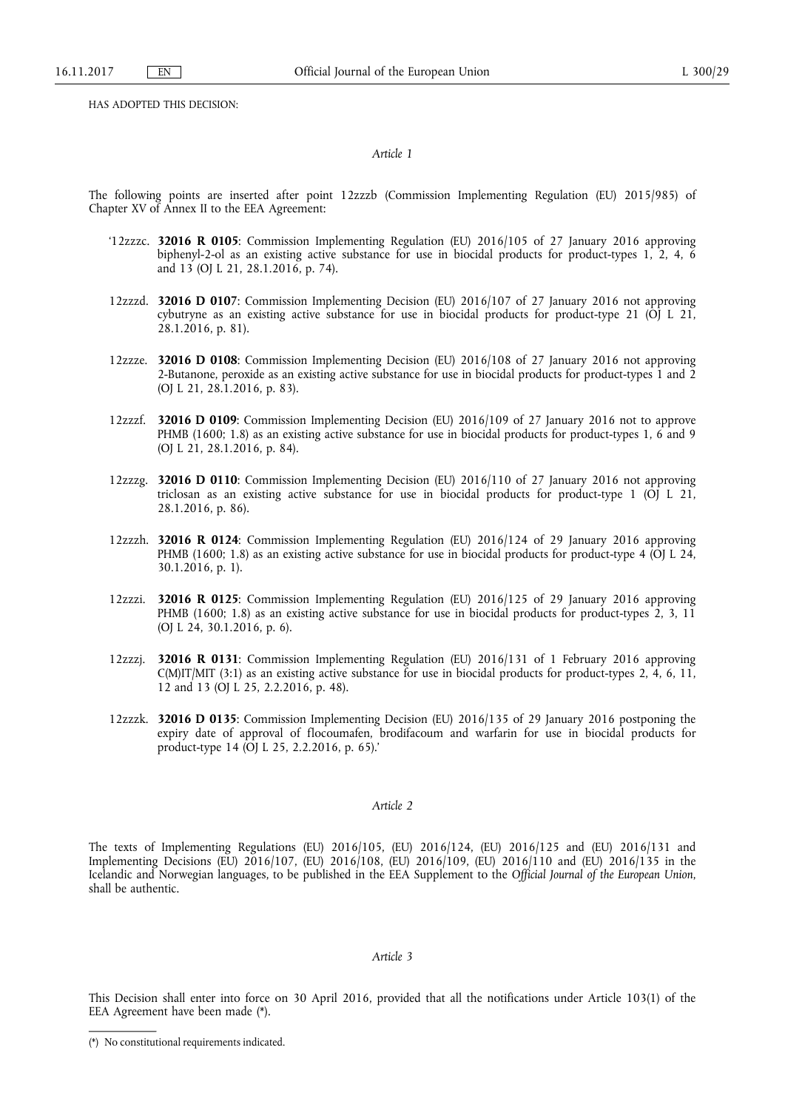HAS ADOPTED THIS DECISION:

#### *Article 1*

The following points are inserted after point 12zzzb (Commission Implementing Regulation (EU) 2015/985) of Chapter XV of Annex II to the EEA Agreement:

- '12zzzc. **32016 R 0105**: Commission Implementing Regulation (EU) 2016/105 of 27 January 2016 approving biphenyl-2-ol as an existing active substance for use in biocidal products for product-types 1, 2, 4, 6 and 13 (OJ L 21, 28.1.2016, p. 74).
- 12zzzd. **32016 D 0107**: Commission Implementing Decision (EU) 2016/107 of 27 January 2016 not approving cybutryne as an existing active substance for use in biocidal products for product-type 21 (OJ L 21, 28.1.2016, p. 81).
- 12zzze. **32016 D 0108**: Commission Implementing Decision (EU) 2016/108 of 27 January 2016 not approving 2-Butanone, peroxide as an existing active substance for use in biocidal products for product-types 1 and 2 (OJ L 21, 28.1.2016, p. 83).
- 12zzzf. **32016 D 0109**: Commission Implementing Decision (EU) 2016/109 of 27 January 2016 not to approve PHMB (1600; 1.8) as an existing active substance for use in biocidal products for product-types 1, 6 and 9 (OJ L 21, 28.1.2016, p. 84).
- 12zzzg. **32016 D 0110**: Commission Implementing Decision (EU) 2016/110 of 27 January 2016 not approving triclosan as an existing active substance for use in biocidal products for product-type  $1$  (OJ L  $21$ , 28.1.2016, p. 86).
- 12zzzh. **32016 R 0124**: Commission Implementing Regulation (EU) 2016/124 of 29 January 2016 approving PHMB (1600; 1.8) as an existing active substance for use in biocidal products for product-type 4 (OJ L 24, 30.1.2016, p. 1).
- 12zzzi. **32016 R 0125**: Commission Implementing Regulation (EU) 2016/125 of 29 January 2016 approving PHMB (1600; 1.8) as an existing active substance for use in biocidal products for product-types 2, 3, 11 (OJ L 24, 30.1.2016, p. 6).
- 12zzzj. **32016 R 0131**: Commission Implementing Regulation (EU) 2016/131 of 1 February 2016 approving C(M)IT/MIT (3:1) as an existing active substance for use in biocidal products for product-types 2, 4, 6, 11, 12 and 13 (OJ L 25, 2.2.2016, p. 48).
- 12zzzk. **32016 D 0135**: Commission Implementing Decision (EU) 2016/135 of 29 January 2016 postponing the expiry date of approval of flocoumafen, brodifacoum and warfarin for use in biocidal products for product-type 14 (OJ L 25, 2.2.2016, p. 65).'

## *Article 2*

The texts of Implementing Regulations (EU) 2016/105, (EU) 2016/124, (EU) 2016/125 and (EU) 2016/131 and Implementing Decisions (EU) 2016/107, (EU) 2016/108, (EU) 2016/109, (EU) 2016/110 and (EU) 2016/135 in the Icelandic and Norwegian languages, to be published in the EEA Supplement to the *Official Journal of the European Union*, shall be authentic.

## *Article 3*

This Decision shall enter into force on 30 April 2016, provided that all the notifications under Article 103(1) of the EEA Agreement have been made (\*).

<sup>(\*)</sup> No constitutional requirements indicated.